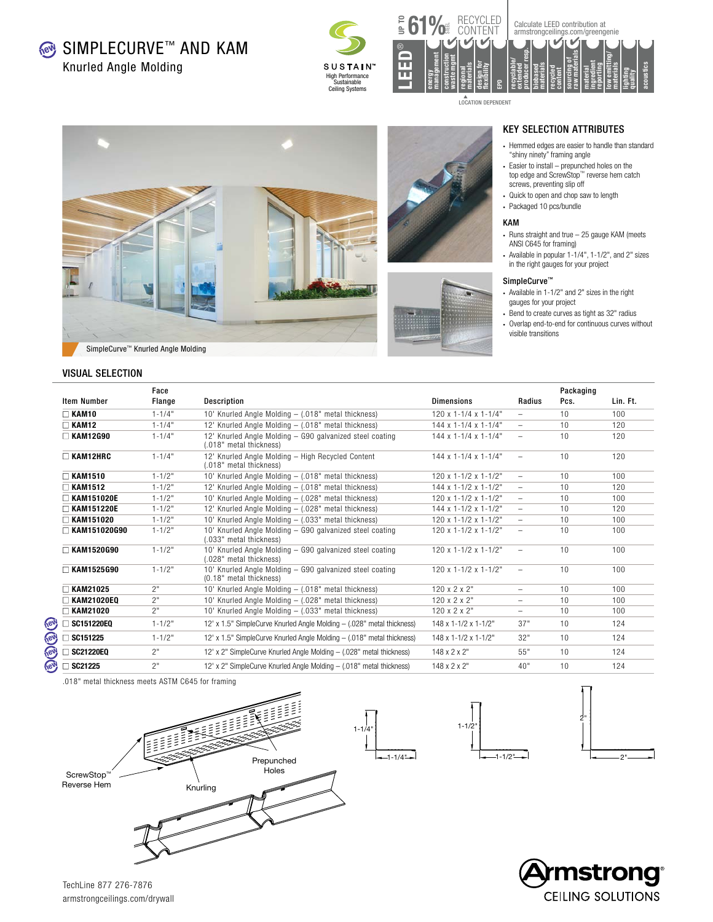Knurled Angle Molding

**® SIMPLECURVE™ AND KAM** 





▲<br>LOCATION DEPENDENT







## KEY SELECTION ATTRIBUTES

- Hemmed edges are easier to handle than standard "shiny ninety" framing angle
- Easier to install prepunched holes on the top edge and ScrewStop™ reverse hem catch screws, preventing slip off
- Quick to open and chop saw to length
- Packaged 10 pcs/bundle

#### KAM

- Runs straight and true 25 gauge KAM (meets ANSI C645 for framing)
- Available in popular 1-1/4", 1-1/2", and 2" sizes in the right gauges for your project

#### SimpleCurve™

- Available in 1-1/2" and 2" sizes in the right gauges for your project
- Bend to create curves as tight as 32" radius
- Overlap end-to-end for continuous curves without visible transitions



#### VISUAL SELECTION

|                     | Face       |                                                                                     |                                       |                          | Packaging |          |
|---------------------|------------|-------------------------------------------------------------------------------------|---------------------------------------|--------------------------|-----------|----------|
| <b>Item Number</b>  | Flange     | <b>Description</b>                                                                  | <b>Dimensions</b>                     | Radius                   | Pcs.      | Lin. Ft. |
| $\Box$ KAM10        | $1 - 1/4"$ | 10' Knurled Angle Molding - (.018" metal thickness)                                 | $120 \times 1 - 1/4 \times 1 - 1/4$ " | $-$                      | 10        | 100      |
| $\Box$ KAM12        | $1 - 1/4"$ | 12' Knurled Angle Molding - (.018" metal thickness)                                 | $144 \times 1 - 1/4 \times 1 - 1/4$ " | $\overline{\phantom{0}}$ | 10        | 120      |
| $\Box$ KAM12G90     | $1 - 1/4"$ | 12' Knurled Angle Molding - G90 galvanized steel coating<br>(.018" metal thickness) | $144 \times 1 - 1/4 \times 1 - 1/4$ " | $\overline{\phantom{0}}$ | 10        | 120      |
| $\Box$ KAM12HRC     | $1 - 1/4"$ | 12' Knurled Angle Molding - High Recycled Content<br>(.018" metal thickness)        | $144 \times 1 - 1/4 \times 1 - 1/4$ " | $\qquad \qquad -$        | 10        | 120      |
| $\Box$ KAM1510      | $1 - 1/2"$ | 10' Knurled Angle Molding - (.018" metal thickness)                                 | $120 \times 1 - 1/2 \times 1 - 1/2$ " | $\overline{\phantom{m}}$ | 10        | 100      |
| $\Box$ KAM1512      | $1 - 1/2"$ | 12' Knurled Angle Molding - (.018" metal thickness)                                 | $144 \times 1 - 1/2 \times 1 - 1/2$ " | $\overline{\phantom{0}}$ | 10        | 120      |
| $\Box$ KAM151020E   | $1 - 1/2"$ | 10' Knurled Angle Molding - (.028" metal thickness)                                 | $120 \times 1 - 1/2 \times 1 - 1/2$ " | $\overline{\phantom{0}}$ | 10        | 100      |
| $\Box$ KAM151220E   | $1 - 1/2"$ | 12' Knurled Angle Molding - (.028" metal thickness)                                 | $144 \times 1 - 1/2 \times 1 - 1/2$ " | $\overline{\phantom{0}}$ | 10        | 120      |
| $\Box$ KAM151020    | $1 - 1/2"$ | 10' Knurled Angle Molding - (.033" metal thickness)                                 | $120 \times 1 - 1/2 \times 1 - 1/2$ " | $\overline{\phantom{m}}$ | 10        | 100      |
| $\Box$ KAM151020G90 | $1 - 1/2"$ | 10' Knurled Angle Molding - G90 galvanized steel coating<br>(.033" metal thickness) | $120 \times 1 - 1/2 \times 1 - 1/2$ " | $\overline{\phantom{0}}$ | 10        | 100      |
| $\Box$ KAM1520G90   | $1 - 1/2"$ | 10' Knurled Angle Molding - G90 galvanized steel coating<br>(.028" metal thickness) | $120 \times 1 - 1/2 \times 1 - 1/2$ " | $\qquad \qquad -$        | 10        | 100      |
| $\Box$ KAM1525G90   | $1 - 1/2"$ | 10' Knurled Angle Molding - G90 galvanized steel coating<br>(0.18" metal thickness) | $120 \times 1 - 1/2 \times 1 - 1/2$ " | $\overline{\phantom{m}}$ | 10        | 100      |
| $\Box$ KAM21025     | 2"         | 10' Knurled Angle Molding - (.018" metal thickness)                                 | $120 \times 2 \times 2$ "             | $\overline{\phantom{0}}$ | 10        | 100      |
| $\Box$ KAM21020EQ   | 2"         | 10' Knurled Angle Molding - (.028" metal thickness)                                 | $120 \times 2 \times 2$ "             | -                        | 10        | 100      |
| $\Box$ KAM21020     | 2"         | 10' Knurled Angle Molding - (.033" metal thickness)                                 | $120 \times 2 \times 2$ "             | $\overline{\phantom{0}}$ | 10        | 100      |
| $\Box$ SC151220E0   | $1 - 1/2"$ | 12' x 1.5" SimpleCurve Knurled Angle Molding - (.028" metal thickness)              | 148 x 1-1/2 x 1-1/2"                  | 37"                      | 10        | 124      |
| $\Box$ SC151225     | $1 - 1/2"$ | 12' x 1.5" SimpleCurve Knurled Angle Molding - (.018" metal thickness)              | 148 x 1-1/2 x 1-1/2"                  | 32"                      | 10        | 124      |
| $\Box$ SC21220EQ    | 2"         | 12' x 2" SimpleCurve Knurled Angle Molding - (.028" metal thickness)                | $148 \times 2 \times 2$ "             | 55"                      | 10        | 124      |
| $\Box$ SC21225      | 2"         | 12' x 2" SimpleCurve Knurled Angle Molding - (.018" metal thickness)                | $148 \times 2 \times 2"$              | 40"                      | 10        | 124      |

.018" metal thickness meets ASTM C645 for framing